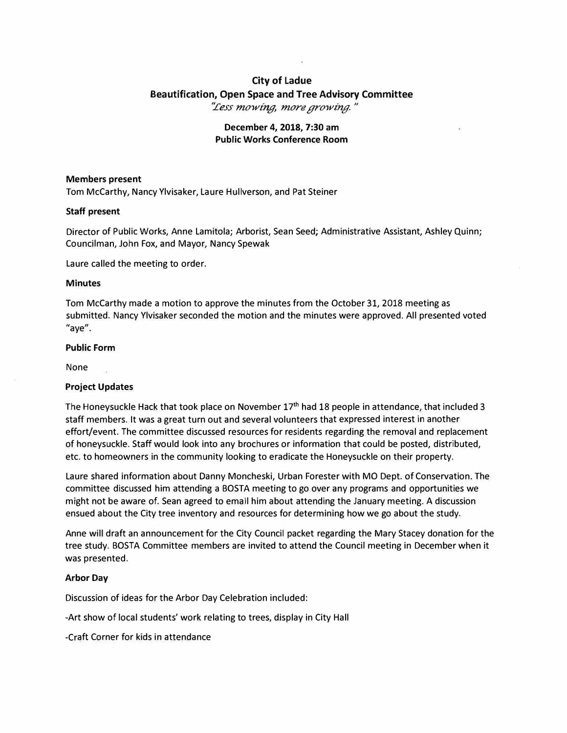# **City of Ladue Beautification, Open Space and Tree Advisory Committee**  *".Cess mowing, more growing.* **,,**

# **December 4, 2018, 7:30 am Public Works Conference Room**

# **Members present**

Tom McCarthy, Nancy Ylvisaker, Laure Hullverson, and Pat Steiner

#### **Staff present**

Director of Public Works, Anne Lamitola; Arborist, Sean Seed; Administrative Assistant, Ashley Quinn; Councilman, John Fox, and Mayor, Nancy Spewak

Laure called the meeting to order.

#### **Minutes**

Tom McCarthy made a motion to approve the minutes from the October 31, 2018 meeting as submitted. Nancy Ylvisaker seconded the motion and the minutes were approved. All presented voted "aye".

#### **Public Form**

None

# **Project Updates**

The Honeysuckle Hack that took place on November 17**th** had 18 people in attendance, that included 3 staff members. It was a great turn out and several volunteers that expressed interest in another effort/event. The committee discussed resources for residents regarding the removal and replacement of honeysuckle. Staff would look into any brochures or information that could be posted, distributed, etc. to homeowners in the community looking to eradicate the Honeysuckle on their property.

Laure shared information about Danny Moncheski, Urban Forester with MO Dept. of Conservation. The committee discussed him attending a BOSTA meeting to go over any programs and opportunities we might not be aware of. Sean agreed to email him about attending the January meeting. A discussion ensued about the City tree inventory and resources for determining how we go about the study.

Anne will draft an announcement for the City Council packet regarding the Mary Stacey donation for the tree study. BOSTA Committee members are invited to attend the Council meeting in December when it was presented.

# **Arbor Day**

Discussion of ideas for the Arbor Day Celebration included:

-Art show of local students' work relating to trees, display in City Hall

-Craft Corner for kids in attendance